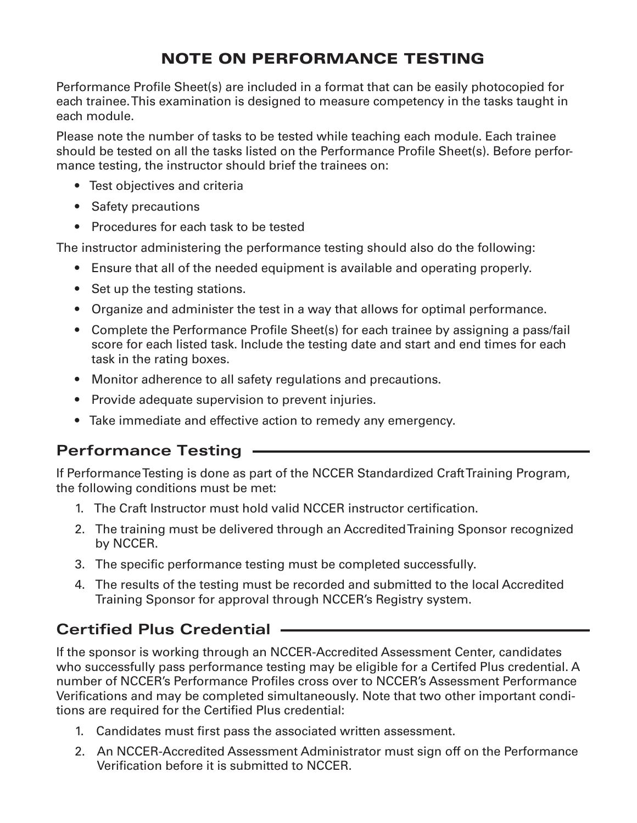## NOTE ON PERFORMANCE TESTING

Performance Profile Sheet(s) are included in a format that can be easily photocopied for each trainee. This examination is designed to measure competency in the tasks taught in each module.

Please note the number of tasks to be tested while teaching each module. Each trainee should be tested on all the tasks listed on the Performance Profile Sheet(s). Before performance testing, the instructor should brief the trainees on:

- Test objectives and criteria
- Safety precautions
- Procedures for each task to be tested

The instructor administering the performance testing should also do the following:

- Ensure that all of the needed equipment is available and operating properly.
- Set up the testing stations.
- Organize and administer the test in a way that allows for optimal performance.
- Complete the Performance Profile Sheet(s) for each trainee by assigning a pass/fail score for each listed task. Include the testing date and start and end times for each task in the rating boxes.
- Monitor adherence to all safety regulations and precautions.
- Provide adequate supervision to prevent injuries.
- Take immediate and effective action to remedy any emergency.

## **Performance Testing**

If Performance Testing is done as part of the NCCER Standardized Craft Training Program, the following conditions must be met:

- 1. The Craft Instructor must hold valid NCCER instructor certification.
- 2. The training must be delivered through an Accredited Training Sponsor recognized by NCCER.
- 3. The specific performance testing must be completed successfully.
- 4. The results of the testing must be recorded and submitted to the local Accredited Training Sponsor for approval through NCCER's Registry system.

## **Certified Plus Credential**

If the sponsor is working through an NCCER-Accredited Assessment Center, candidates who successfully pass performance testing may be eligible for a Certifed Plus credential. A number of NCCER's Performance Profiles cross over to NCCER's Assessment Performance Verifications and may be completed simultaneously. Note that two other important conditions are required for the Certified Plus credential:

- 1. Candidates must first pass the associated written assessment.
- 2. An NCCER-Accredited Assessment Administrator must sign off on the Performance Verification before it is submitted to NCCER.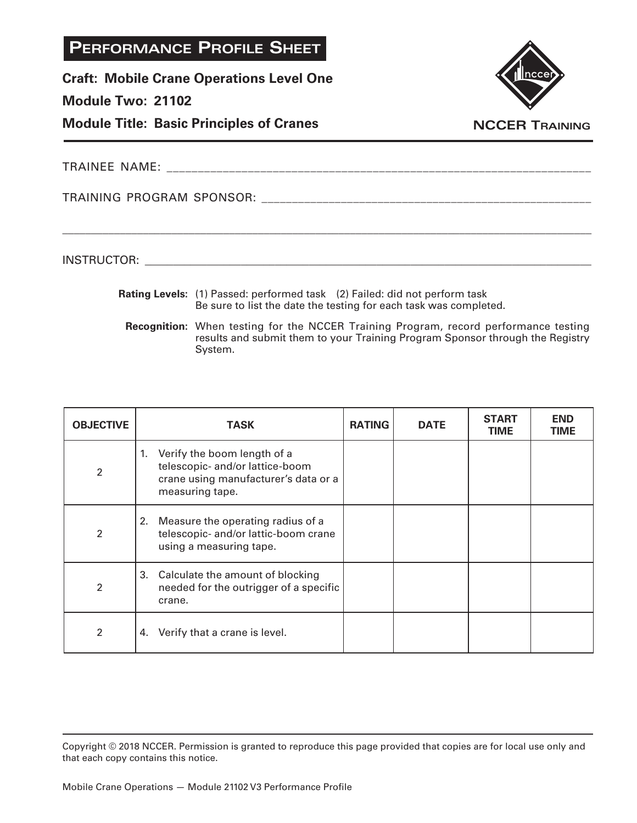**Craft: Mobile Crane Operations Level One**

### **Module Two: 21102**

**Module Title: Basic Principles of Cranes**



TRAINEE NAME: \_\_\_\_\_\_\_\_\_\_\_\_\_\_\_\_\_\_\_\_\_\_\_\_\_\_\_\_\_\_\_\_\_\_\_\_\_\_\_\_\_\_\_\_\_\_\_\_\_\_\_\_\_\_\_\_\_\_\_\_\_\_\_\_\_\_\_\_

TRAINING PROGRAM SPONSOR: \_\_\_\_\_\_\_\_\_\_\_\_\_\_\_\_\_\_\_\_\_\_\_\_\_\_\_\_\_\_\_\_\_\_\_\_\_\_\_\_\_\_\_\_\_\_\_\_\_\_\_\_\_\_

INSTRUCTOR: with a set of the set of the set of the set of the set of the set of the set of the set of the set of the set of the set of the set of the set of the set of the set of the set of the set of the set of the set o

**Rating Levels:** (1) Passed: performed task (2) Failed: did not perform task Be sure to list the date the testing for each task was completed.

\_\_\_\_\_\_\_\_\_\_\_\_\_\_\_\_\_\_\_\_\_\_\_\_\_\_\_\_\_\_\_\_\_\_\_\_\_\_\_\_\_\_\_\_\_\_\_\_\_\_\_\_\_\_\_\_\_\_\_\_\_\_\_\_\_\_\_\_\_\_\_\_\_\_\_\_\_\_\_\_\_\_\_\_\_\_\_\_\_\_\_\_

**Recognition:** When testing for the NCCER Training Program, record performance testing results and submit them to your Training Program Sponsor through the Registry System.

| <b>OBJECTIVE</b>         | <b>TASK</b>                                                                                                                  | <b>RATING</b> | <b>DATE</b> | <b>START</b><br><b>TIME</b> | <b>END</b><br>TIME |
|--------------------------|------------------------------------------------------------------------------------------------------------------------------|---------------|-------------|-----------------------------|--------------------|
| $\mathfrak{p}$           | 1. Verify the boom length of a<br>telescopic- and/or lattice-boom<br>crane using manufacturer's data or a<br>measuring tape. |               |             |                             |                    |
| $\overline{2}$           | 2. Measure the operating radius of a<br>telescopic- and/or lattic-boom crane<br>using a measuring tape.                      |               |             |                             |                    |
| $\overline{\mathcal{L}}$ | 3. Calculate the amount of blocking<br>needed for the outrigger of a specific<br>crane.                                      |               |             |                             |                    |
| $\overline{2}$           | Verify that a crane is level.<br>4.                                                                                          |               |             |                             |                    |

Copyright © 2018 NCCER. Permission is granted to reproduce this page provided that copies are for local use only and that each copy contains this notice.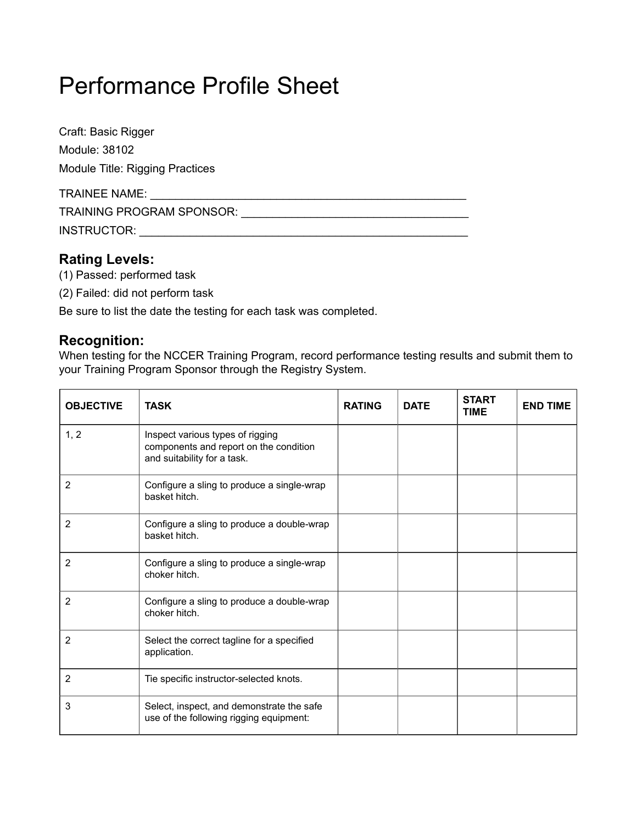Craft: Basic Rigger Module: 38102 Module Title: Rigging Practices

| <b>TRAINEE NAME:</b>             |  |
|----------------------------------|--|
| <b>TRAINING PROGRAM SPONSOR:</b> |  |
| INSTRUCTOR:                      |  |

## **Rating Levels:**

- (1) Passed: performed task
- (2) Failed: did not perform task

Be sure to list the date the testing for each task was completed.

## **Recognition:**

When testing for the NCCER Training Program, record performance testing results and submit them to your Training Program Sponsor through the Registry System.

| <b>OBJECTIVE</b> | <b>TASK</b>                                                                                               | <b>RATING</b> | <b>DATE</b> | <b>START</b><br><b>TIME</b> | <b>END TIME</b> |
|------------------|-----------------------------------------------------------------------------------------------------------|---------------|-------------|-----------------------------|-----------------|
| 1, 2             | Inspect various types of rigging<br>components and report on the condition<br>and suitability for a task. |               |             |                             |                 |
| 2                | Configure a sling to produce a single-wrap<br>basket hitch.                                               |               |             |                             |                 |
| $\overline{2}$   | Configure a sling to produce a double-wrap<br>basket hitch.                                               |               |             |                             |                 |
| 2                | Configure a sling to produce a single-wrap<br>choker hitch.                                               |               |             |                             |                 |
| 2                | Configure a sling to produce a double-wrap<br>choker hitch.                                               |               |             |                             |                 |
| 2                | Select the correct tagline for a specified<br>application.                                                |               |             |                             |                 |
| $\overline{2}$   | Tie specific instructor-selected knots.                                                                   |               |             |                             |                 |
| 3                | Select, inspect, and demonstrate the safe<br>use of the following rigging equipment:                      |               |             |                             |                 |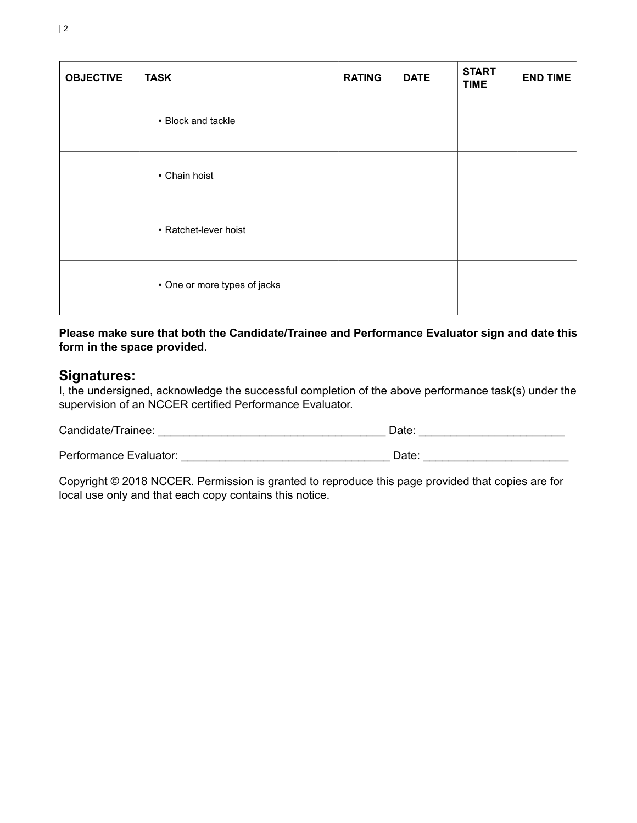| <b>OBJECTIVE</b> | <b>TASK</b>                  | <b>RATING</b> | <b>DATE</b> | <b>START</b><br><b>TIME</b> | <b>END TIME</b> |
|------------------|------------------------------|---------------|-------------|-----------------------------|-----------------|
|                  | • Block and tackle           |               |             |                             |                 |
|                  | • Chain hoist                |               |             |                             |                 |
|                  | • Ratchet-lever hoist        |               |             |                             |                 |
|                  | • One or more types of jacks |               |             |                             |                 |

**Please make sure that both the Candidate/Trainee and Performance Evaluator sign and date this form in the space provided.**

## **Signatures:**

I, the undersigned, acknowledge the successful completion of the above performance task(s) under the supervision of an NCCER certified Performance Evaluator.

| Candidate/Trainee:     | ⊃ate <sup>.</sup> |
|------------------------|-------------------|
| Performance Evaluator: | Date:             |
|                        |                   |

Copyright © 2018 NCCER. Permission is granted to reproduce this page provided that copies are for local use only and that each copy contains this notice.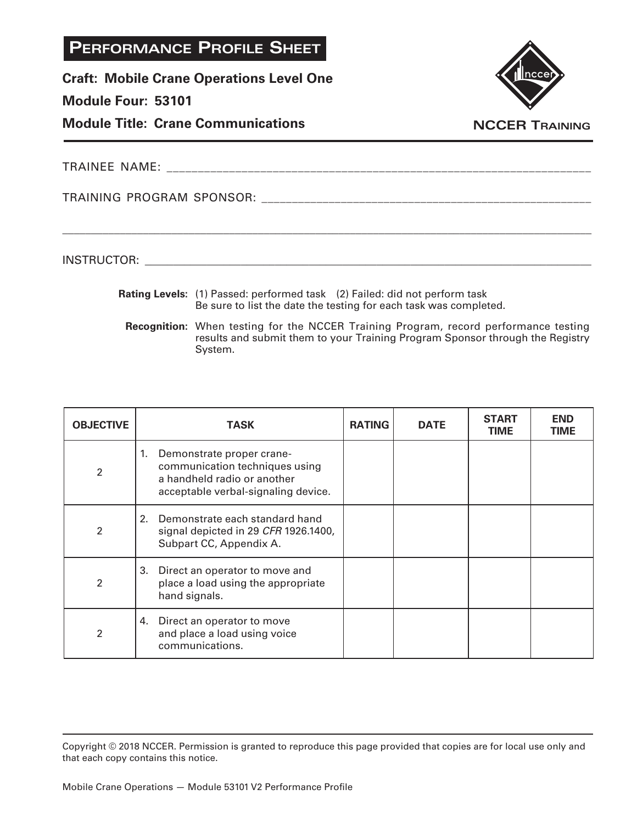**Craft: Mobile Crane Operations Level One**

#### **Module Four: 53101**

**Module Title: Crane Communications**



**NCCER Training**

TRAINEE NAME: \_\_\_\_\_\_\_\_\_\_\_\_\_\_\_\_\_\_\_\_\_\_\_\_\_\_\_\_\_\_\_\_\_\_\_\_\_\_\_\_\_\_\_\_\_\_\_\_\_\_\_\_\_\_\_\_\_\_\_\_\_\_\_\_\_\_\_\_

TRAINING PROGRAM SPONSOR: \_\_\_\_\_\_\_\_\_\_\_\_\_\_\_\_\_\_\_\_\_\_\_\_\_\_\_\_\_\_\_\_\_\_\_\_\_\_\_\_\_\_\_\_\_\_\_\_\_\_\_\_\_\_

INSTRUCTOR: with a set of the set of the set of the set of the set of the set of the set of the set of the set of the set of the set of the set of the set of the set of the set of the set of the set of the set of the set o

**Rating Levels:** (1) Passed: performed task (2) Failed: did not perform task Be sure to list the date the testing for each task was completed.

\_\_\_\_\_\_\_\_\_\_\_\_\_\_\_\_\_\_\_\_\_\_\_\_\_\_\_\_\_\_\_\_\_\_\_\_\_\_\_\_\_\_\_\_\_\_\_\_\_\_\_\_\_\_\_\_\_\_\_\_\_\_\_\_\_\_\_\_\_\_\_\_\_\_\_\_\_\_\_\_\_\_\_\_\_\_\_\_\_\_\_\_

**Recognition:** When testing for the NCCER Training Program, record performance testing results and submit them to your Training Program Sponsor through the Registry System.

| <b>OBJECTIVE</b>         | <b>TASK</b>                                                                                                                             | <b>RATING</b> | <b>DATE</b> | <b>START</b><br><b>TIME</b> | <b>END</b><br>TIME |
|--------------------------|-----------------------------------------------------------------------------------------------------------------------------------------|---------------|-------------|-----------------------------|--------------------|
| $\mathfrak{p}$           | Demonstrate proper crane-<br>1.<br>communication techniques using<br>a handheld radio or another<br>acceptable verbal-signaling device. |               |             |                             |                    |
| $\overline{\mathcal{L}}$ | Demonstrate each standard hand<br>2.<br>signal depicted in 29 CFR 1926.1400,<br>Subpart CC, Appendix A.                                 |               |             |                             |                    |
| $\overline{\mathcal{L}}$ | 3.<br>Direct an operator to move and<br>place a load using the appropriate<br>hand signals.                                             |               |             |                             |                    |
| 2                        | Direct an operator to move<br>4.<br>and place a load using voice<br>communications.                                                     |               |             |                             |                    |

Copyright © 2018 NCCER. Permission is granted to reproduce this page provided that copies are for local use only and that each copy contains this notice.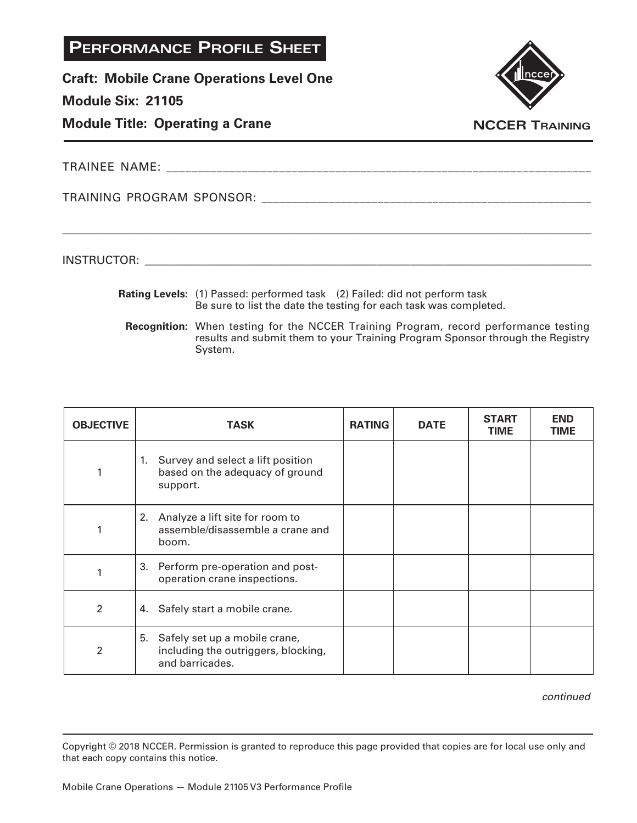**Craft: Mobile Crane Operations Level One**

### **Module Six: 21105**

**Module Title: Operating a Crane**



**NCCER Training**

TRAINEE NAME:

TRAINING PROGRAM SPONSOR: \_\_\_\_\_\_\_\_\_\_\_\_\_\_\_\_\_\_\_\_\_\_\_\_\_\_\_\_\_\_\_\_\_\_\_\_\_\_\_\_\_\_\_\_\_\_\_\_\_\_\_\_\_\_

INSTRUCTOR: with a set of the set of the set of the set of the set of the set of the set of the set of the set of the set of the set of the set of the set of the set of the set of the set of the set of the set of the set o

**Rating Levels:** (1) Passed: performed task (2) Failed: did not perform task Be sure to list the date the testing for each task was completed.

\_\_\_\_\_\_\_\_\_\_\_\_\_\_\_\_\_\_\_\_\_\_\_\_\_\_\_\_\_\_\_\_\_\_\_\_\_\_\_\_\_\_\_\_\_\_\_\_\_\_\_\_\_\_\_\_\_\_\_\_\_\_\_\_\_\_\_\_\_\_\_\_\_\_\_\_\_\_\_\_\_\_\_\_\_\_\_\_\_\_\_\_

**Recognition:** When testing for the NCCER Training Program, record performance testing results and submit them to your Training Program Sponsor through the Registry System.

| <b>OBJECTIVE</b> | <b>TASK</b>                                                                                   | <b>RATING</b> | <b>DATE</b> | <b>START</b><br><b>TIME</b> | <b>END</b><br><b>TIME</b> |
|------------------|-----------------------------------------------------------------------------------------------|---------------|-------------|-----------------------------|---------------------------|
|                  | 1. Survey and select a lift position<br>based on the adequacy of ground<br>support.           |               |             |                             |                           |
|                  | Analyze a lift site for room to<br>2.<br>assemble/disassemble a crane and<br>boom.            |               |             |                             |                           |
|                  | 3. Perform pre-operation and post-<br>operation crane inspections.                            |               |             |                             |                           |
| $\overline{2}$   | 4. Safely start a mobile crane.                                                               |               |             |                             |                           |
| 2                | 5.<br>Safely set up a mobile crane,<br>including the outriggers, blocking,<br>and barricades. |               |             |                             |                           |

*continued*

Copyright © 2018 NCCER. Permission is granted to reproduce this page provided that copies are for local use only and that each copy contains this notice.